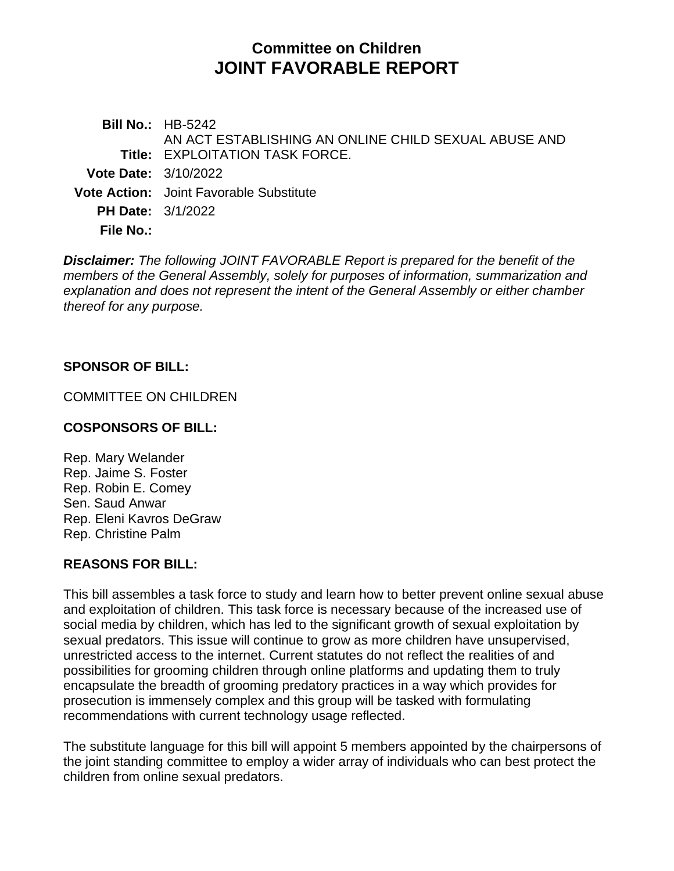# **Committee on Children JOINT FAVORABLE REPORT**

**Bill No.:** HB-5242 **Title:** EXPLOITATION TASK FORCE. AN ACT ESTABLISHING AN ONLINE CHILD SEXUAL ABUSE AND **Vote Date:** 3/10/2022 **Vote Action:** Joint Favorable Substitute **PH Date:** 3/1/2022 **File No.:**

*Disclaimer: The following JOINT FAVORABLE Report is prepared for the benefit of the members of the General Assembly, solely for purposes of information, summarization and explanation and does not represent the intent of the General Assembly or either chamber thereof for any purpose.*

### **SPONSOR OF BILL:**

COMMITTEE ON CHILDREN

#### **COSPONSORS OF BILL:**

Rep. Mary Welander Rep. Jaime S. Foster Rep. Robin E. Comey Sen. Saud Anwar Rep. Eleni Kavros DeGraw Rep. Christine Palm

#### **REASONS FOR BILL:**

This bill assembles a task force to study and learn how to better prevent online sexual abuse and exploitation of children. This task force is necessary because of the increased use of social media by children, which has led to the significant growth of sexual exploitation by sexual predators. This issue will continue to grow as more children have unsupervised, unrestricted access to the internet. Current statutes do not reflect the realities of and possibilities for grooming children through online platforms and updating them to truly encapsulate the breadth of grooming predatory practices in a way which provides for prosecution is immensely complex and this group will be tasked with formulating recommendations with current technology usage reflected.

The substitute language for this bill will appoint 5 members appointed by the chairpersons of the joint standing committee to employ a wider array of individuals who can best protect the children from online sexual predators.